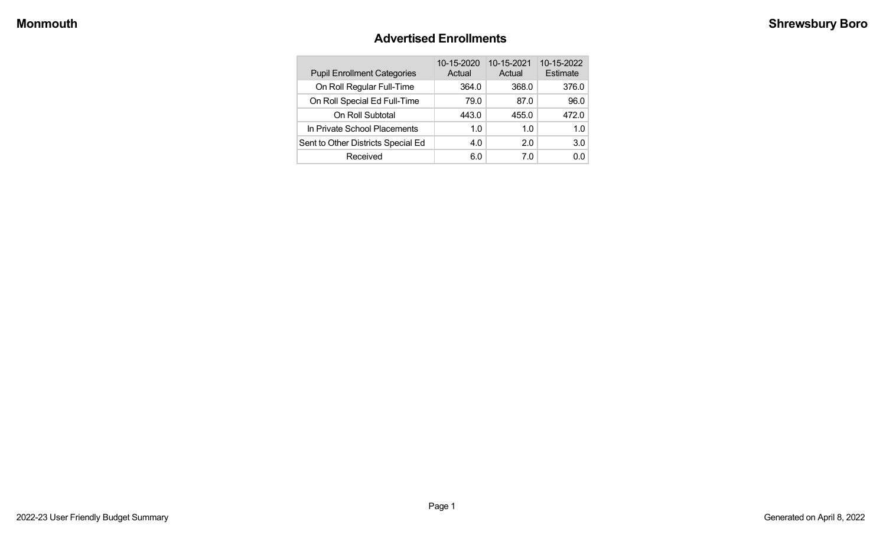### **Advertised Enrollments**

| <b>Pupil Enrollment Categories</b> | 10-15-2020<br>Actual | 10-15-2021<br>Actual | 10-15-2022<br>Estimate |
|------------------------------------|----------------------|----------------------|------------------------|
| On Roll Regular Full-Time          | 364.0                | 368.0                | 376.0                  |
| On Roll Special Ed Full-Time       | 79.0                 | 87.0                 | 96.0                   |
| On Roll Subtotal                   | 443.0                | 455.0                | 472.0                  |
| In Private School Placements       | 1.0                  | 1.0                  | 1.0                    |
| Sent to Other Districts Special Ed | 4.0                  | 2.0                  | 3.0                    |
| Received                           | 6.0                  | 7.0                  | 0.0                    |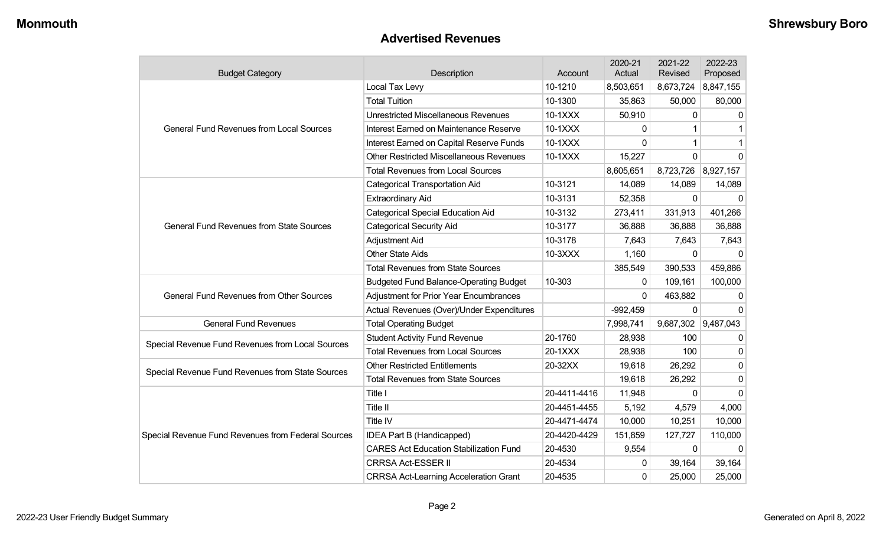#### **Advertised Revenues**

| <b>Budget Category</b>                             | Description                                    | Account      | 2020-21<br>Actual | 2021-22<br>Revised  | 2022-23<br>Proposed |
|----------------------------------------------------|------------------------------------------------|--------------|-------------------|---------------------|---------------------|
|                                                    | Local Tax Levy                                 | 10-1210      | 8,503,651         | 8,673,724           | 8,847,155           |
|                                                    | <b>Total Tuition</b>                           | 10-1300      | 35,863            | 50,000              | 80,000              |
|                                                    | <b>Unrestricted Miscellaneous Revenues</b>     | 10-1XXX      | 50,910            | $\mathbf{0}$        | $\Omega$            |
| <b>General Fund Revenues from Local Sources</b>    | Interest Earned on Maintenance Reserve         | 10-1XXX      | 0                 | 1                   |                     |
|                                                    | Interest Earned on Capital Reserve Funds       | 10-1XXX      | 0                 | 1                   |                     |
|                                                    | <b>Other Restricted Miscellaneous Revenues</b> | 10-1XXX      | 15,227            | $\Omega$            | $\Omega$            |
|                                                    | <b>Total Revenues from Local Sources</b>       |              | 8,605,651         | 8,723,726           | 8,927,157           |
|                                                    | <b>Categorical Transportation Aid</b>          | 10-3121      | 14,089            | 14,089              | 14,089              |
|                                                    | <b>Extraordinary Aid</b>                       | 10-3131      | 52,358            | $\Omega$            | $\Omega$            |
|                                                    | <b>Categorical Special Education Aid</b>       | 10-3132      | 273,411           | 331,913             | 401,266             |
| <b>General Fund Revenues from State Sources</b>    | <b>Categorical Security Aid</b>                | 10-3177      | 36,888            | 36,888              | 36,888              |
|                                                    | Adjustment Aid                                 | 10-3178      | 7,643             | 7,643               | 7,643               |
|                                                    | <b>Other State Aids</b>                        | 10-3XXX      | 1,160             | $\mathbf 0$         | $\Omega$            |
|                                                    | <b>Total Revenues from State Sources</b>       |              | 385,549           | 390,533             | 459,886             |
|                                                    | <b>Budgeted Fund Balance-Operating Budget</b>  | 10-303       | 0                 | 109,161             | 100,000             |
| <b>General Fund Revenues from Other Sources</b>    | <b>Adjustment for Prior Year Encumbrances</b>  |              | $\Omega$          | 463,882             | $\Omega$            |
|                                                    | Actual Revenues (Over)/Under Expenditures      |              | $-992,459$        | $\mathbf 0$         | $\Omega$            |
| <b>General Fund Revenues</b>                       | <b>Total Operating Budget</b>                  |              | 7,998,741         | 9,687,302 9,487,043 |                     |
|                                                    | <b>Student Activity Fund Revenue</b>           | 20-1760      | 28,938            | 100                 | <sup>0</sup>        |
| Special Revenue Fund Revenues from Local Sources   | <b>Total Revenues from Local Sources</b>       | 20-1XXX      | 28,938            | 100                 | $\mathbf{0}$        |
| Special Revenue Fund Revenues from State Sources   | <b>Other Restricted Entitlements</b>           | 20-32XX      | 19,618            | 26,292              | $\mathbf{0}$        |
|                                                    | <b>Total Revenues from State Sources</b>       |              | 19,618            | 26,292              | $\Omega$            |
|                                                    | Title I                                        | 20-4411-4416 | 11,948            | 0                   | $\Omega$            |
|                                                    | Title II                                       | 20-4451-4455 | 5,192             | 4,579               | 4,000               |
|                                                    | Title IV                                       | 20-4471-4474 | 10,000            | 10,251              | 10,000              |
| Special Revenue Fund Revenues from Federal Sources | IDEA Part B (Handicapped)                      | 20-4420-4429 | 151,859           | 127,727             | 110,000             |
|                                                    | <b>CARES Act Education Stabilization Fund</b>  | 20-4530      | 9,554             | $\mathbf{0}$        | $\Omega$            |
|                                                    | <b>CRRSA Act-ESSER II</b>                      | 20-4534      | 0                 | 39,164              | 39,164              |
|                                                    | <b>CRRSA Act-Learning Acceleration Grant</b>   | 20-4535      | 0                 | 25,000              | 25,000              |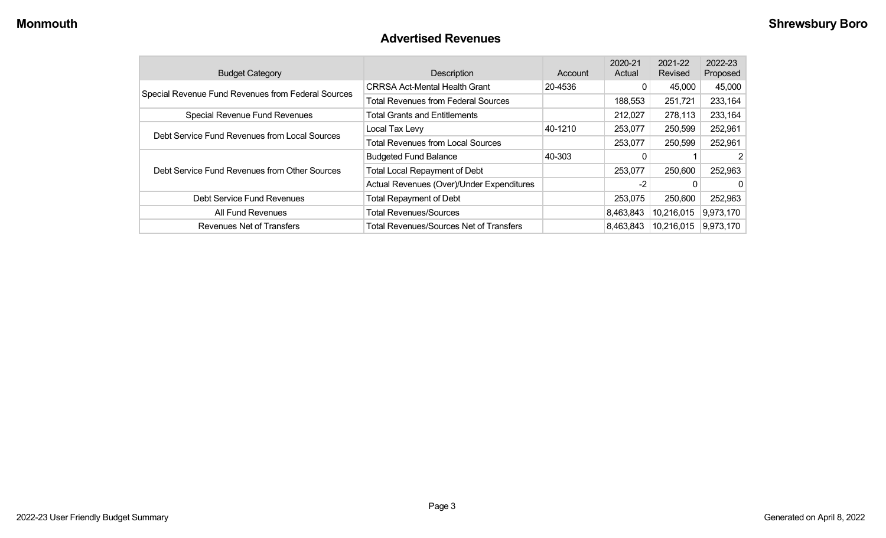### **Advertised Revenues**

| <b>Budget Category</b>                             | Description                                | Account | 2020-21<br>Actual | 2021-22<br>Revised | 2022-23<br>Proposed |
|----------------------------------------------------|--------------------------------------------|---------|-------------------|--------------------|---------------------|
| Special Revenue Fund Revenues from Federal Sources | <b>CRRSA Act-Mental Health Grant</b>       | 20-4536 | 0                 | 45,000             | 45,000              |
|                                                    | <b>Total Revenues from Federal Sources</b> |         | 188,553           | 251,721            | 233,164             |
| Special Revenue Fund Revenues                      | <b>Total Grants and Entitlements</b>       |         | 212,027           | 278,113            | 233,164             |
| Debt Service Fund Revenues from Local Sources      | Local Tax Levy                             | 40-1210 | 253,077           | 250,599            | 252,961             |
|                                                    | <b>Total Revenues from Local Sources</b>   |         | 253,077           | 250,599            | 252,961             |
|                                                    | <b>Budgeted Fund Balance</b>               | 40-303  | 0                 |                    | 2                   |
| Debt Service Fund Revenues from Other Sources      | <b>Total Local Repayment of Debt</b>       |         | 253,077           | 250,600            | 252,963             |
|                                                    | Actual Revenues (Over)/Under Expenditures  |         | $-2$              |                    | $\Omega$            |
| Debt Service Fund Revenues                         | <b>Total Repayment of Debt</b>             |         | 253,075           | 250,600            | 252,963             |
| All Fund Revenues                                  | <b>Total Revenues/Sources</b>              |         | 8,463,843         | 10,216,015         | 9,973,170           |
| Revenues Net of Transfers                          | Total Revenues/Sources Net of Transfers    |         | 8,463,843         | 10,216,015         | 9,973,170           |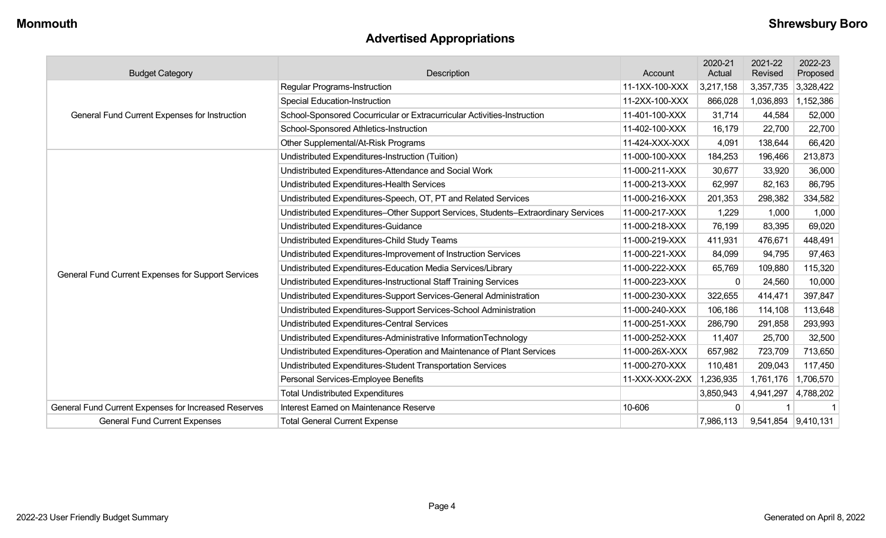## **Advertised Appropriations**

| <b>Budget Category</b>                               | Description                                                                        | Account        | 2020-21<br>Actual | 2021-22<br>Revised  | 2022-23<br>Proposed |
|------------------------------------------------------|------------------------------------------------------------------------------------|----------------|-------------------|---------------------|---------------------|
|                                                      | <b>Regular Programs-Instruction</b>                                                | 11-1XX-100-XXX | 3,217,158         | 3,357,735           | 3,328,422           |
|                                                      | <b>Special Education-Instruction</b>                                               | 11-2XX-100-XXX | 866,028           | 1,036,893           | 1,152,386           |
| General Fund Current Expenses for Instruction        | School-Sponsored Cocurricular or Extracurricular Activities-Instruction            | 11-401-100-XXX | 31,714            | 44,584              | 52,000              |
|                                                      | School-Sponsored Athletics-Instruction                                             | 11-402-100-XXX | 16,179            | 22,700              | 22,700              |
|                                                      | Other Supplemental/At-Risk Programs                                                | 11-424-XXX-XXX | 4,091             | 138,644             | 66,420              |
|                                                      | Undistributed Expenditures-Instruction (Tuition)                                   | 11-000-100-XXX | 184,253           | 196,466             | 213,873             |
|                                                      | Undistributed Expenditures-Attendance and Social Work                              | 11-000-211-XXX | 30,677            | 33,920              | 36,000              |
|                                                      | Undistributed Expenditures-Health Services                                         | 11-000-213-XXX | 62,997            | 82,163              | 86,795              |
|                                                      | Undistributed Expenditures-Speech, OT, PT and Related Services                     | 11-000-216-XXX | 201,353           | 298,382             | 334,582             |
|                                                      | Undistributed Expenditures-Other Support Services, Students-Extraordinary Services | 11-000-217-XXX | 1,229             | 1,000               | 1,000               |
|                                                      | Undistributed Expenditures-Guidance                                                | 11-000-218-XXX | 76,199            | 83,395              | 69,020              |
|                                                      | Undistributed Expenditures-Child Study Teams                                       | 11-000-219-XXX | 411,931           | 476,671             | 448,491             |
|                                                      | Undistributed Expenditures-Improvement of Instruction Services                     | 11-000-221-XXX | 84,099            | 94,795              | 97,463              |
|                                                      | Undistributed Expenditures-Education Media Services/Library                        | 11-000-222-XXX | 65,769            | 109,880             | 115,320             |
| General Fund Current Expenses for Support Services   | Undistributed Expenditures-Instructional Staff Training Services                   | 11-000-223-XXX | $\mathbf 0$       | 24,560              | 10,000              |
|                                                      | Undistributed Expenditures-Support Services-General Administration                 | 11-000-230-XXX | 322,655           | 414,471             | 397,847             |
|                                                      | Undistributed Expenditures-Support Services-School Administration                  | 11-000-240-XXX | 106,186           | 114,108             | 113,648             |
|                                                      | Undistributed Expenditures-Central Services                                        | 11-000-251-XXX | 286,790           | 291,858             | 293,993             |
|                                                      | Undistributed Expenditures-Administrative InformationTechnology                    | 11-000-252-XXX | 11,407            | 25,700              | 32,500              |
|                                                      | Undistributed Expenditures-Operation and Maintenance of Plant Services             | 11-000-26X-XXX | 657,982           | 723,709             | 713,650             |
|                                                      | Undistributed Expenditures-Student Transportation Services                         | 11-000-270-XXX | 110,481           | 209,043             | 117,450             |
|                                                      | Personal Services-Employee Benefits                                                | 11-XXX-XXX-2XX | 1,236,935         | 1,761,176           | 1,706,570           |
|                                                      | <b>Total Undistributed Expenditures</b>                                            |                | 3,850,943         | 4,941,297           | 4,788,202           |
| General Fund Current Expenses for Increased Reserves | Interest Earned on Maintenance Reserve                                             | 10-606         | $\mathbf{0}$      |                     | -1                  |
| <b>General Fund Current Expenses</b>                 | <b>Total General Current Expense</b>                                               |                | 7,986,113         | 9,541,854 9,410,131 |                     |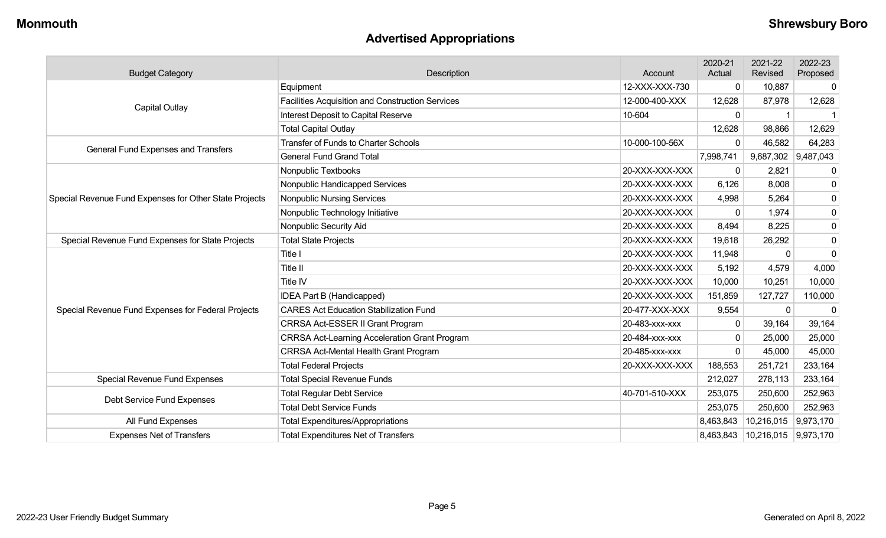## **Advertised Appropriations**

| <b>Budget Category</b>                                                     | Description                                             | Account        | 2020-21<br>Actual | 2021-22<br>Revised  | 2022-23<br>Proposed |
|----------------------------------------------------------------------------|---------------------------------------------------------|----------------|-------------------|---------------------|---------------------|
|                                                                            | Equipment                                               | 12-XXX-XXX-730 | 0                 | 10,887              | 0                   |
|                                                                            | <b>Facilities Acquisition and Construction Services</b> | 12-000-400-XXX | 12,628            | 87,978              | 12,628              |
| <b>Capital Outlay</b>                                                      | Interest Deposit to Capital Reserve                     | 10-604         | $\mathbf{0}$      |                     |                     |
|                                                                            | <b>Total Capital Outlay</b>                             |                | 12,628            | 98,866              | 12,629              |
| General Fund Expenses and Transfers                                        | <b>Transfer of Funds to Charter Schools</b>             | 10-000-100-56X | $\Omega$          | 46,582              | 64,283              |
|                                                                            | <b>General Fund Grand Total</b>                         |                | 7,998,741         | 9,687,302 9,487,043 |                     |
|                                                                            | Nonpublic Textbooks                                     | 20-XXX-XXX-XXX | 0                 | 2,821               | 0                   |
|                                                                            | Nonpublic Handicapped Services                          | 20-XXX-XXX-XXX | 6,126             | 8,008               | 0                   |
| Special Revenue Fund Expenses for Other State Projects                     | <b>Nonpublic Nursing Services</b>                       | 20-XXX-XXX-XXX | 4,998             | 5,264               | $\pmb{0}$           |
|                                                                            | Nonpublic Technology Initiative                         | 20-XXX-XXX-XXX | 0                 | 1,974               | $\pmb{0}$           |
|                                                                            | Nonpublic Security Aid                                  | 20-XXX-XXX-XXX | 8,494             | 8,225               | $\pmb{0}$           |
| Special Revenue Fund Expenses for State Projects                           | <b>Total State Projects</b>                             | 20-XXX-XXX-XXX | 19,618            | 26,292              | $\pmb{0}$           |
|                                                                            | Title I                                                 | 20-XXX-XXX-XXX | 11,948            | $\mathbf{0}$        | $\pmb{0}$           |
|                                                                            | Title II                                                | 20-XXX-XXX-XXX | 5,192             | 4,579               | 4,000               |
|                                                                            | Title IV                                                | 20-XXX-XXX-XXX | 10,000            | 10,251              | 10,000              |
|                                                                            | IDEA Part B (Handicapped)                               | 20-XXX-XXX-XXX | 151,859           | 127,727             | 110,000             |
| Special Revenue Fund Expenses for Federal Projects                         | <b>CARES Act Education Stabilization Fund</b>           | 20-477-XXX-XXX | 9,554             | $\Omega$            | $\Omega$            |
|                                                                            | CRRSA Act-ESSER II Grant Program                        | 20-483-xxx-xxx | 0                 | 39,164              | 39,164              |
|                                                                            | <b>CRRSA Act-Learning Acceleration Grant Program</b>    | 20-484-XXX-XXX | $\mathbf 0$       | 25,000              | 25,000              |
|                                                                            | CRRSA Act-Mental Health Grant Program                   | 20-485-xxx-xxx | $\Omega$          | 45,000              | 45,000              |
|                                                                            | <b>Total Federal Projects</b>                           | 20-XXX-XXX-XXX | 188,553           | 251,721             | 233,164             |
| <b>Total Special Revenue Funds</b><br><b>Special Revenue Fund Expenses</b> |                                                         |                | 212,027           | 278,113             | 233,164             |
| Debt Service Fund Expenses                                                 | <b>Total Regular Debt Service</b>                       | 40-701-510-XXX | 253,075           | 250,600             | 252,963             |
|                                                                            | <b>Total Debt Service Funds</b>                         |                | 253,075           | 250,600             | 252,963             |
| All Fund Expenses                                                          | <b>Total Expenditures/Appropriations</b>                |                | 8,463,843         | 10,216,015          | 9,973,170           |
| <b>Expenses Net of Transfers</b>                                           | <b>Total Expenditures Net of Transfers</b>              |                | 8,463,843         | 10,216,015          | 9,973,170           |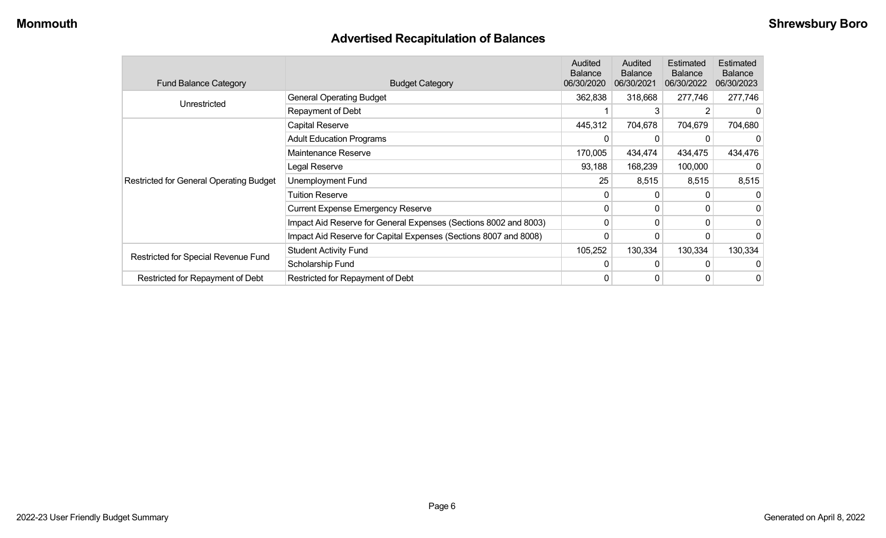## **Advertised Recapitulation of Balances**

| <b>Fund Balance Category</b>                   | <b>Budget Category</b>                                           | Audited<br><b>Balance</b><br>06/30/2020 | Audited<br><b>Balance</b><br>06/30/2021 | Estimated<br><b>Balance</b><br>06/30/2022 | <b>Estimated</b><br><b>Balance</b><br>06/30/2023 |
|------------------------------------------------|------------------------------------------------------------------|-----------------------------------------|-----------------------------------------|-------------------------------------------|--------------------------------------------------|
|                                                | <b>General Operating Budget</b>                                  | 362,838                                 | 318,668                                 | 277,746                                   | 277,746                                          |
| Unrestricted                                   | Repayment of Debt                                                |                                         | 3                                       |                                           |                                                  |
|                                                | Capital Reserve                                                  | 445,312                                 | 704,678                                 | 704,679                                   | 704,680                                          |
|                                                | <b>Adult Education Programs</b>                                  | 0                                       | 0                                       |                                           |                                                  |
|                                                | Maintenance Reserve                                              | 170,005                                 | 434,474                                 | 434,475                                   | 434,476                                          |
|                                                | Legal Reserve                                                    | 93,188                                  | 168,239                                 | 100,000                                   |                                                  |
| <b>Restricted for General Operating Budget</b> | Unemployment Fund                                                | 25                                      | 8,515                                   | 8,515                                     | 8,515                                            |
|                                                | Tuition Reserve                                                  | 0                                       | 0                                       |                                           |                                                  |
|                                                | <b>Current Expense Emergency Reserve</b>                         | 0                                       | 0                                       | 0                                         |                                                  |
|                                                | Impact Aid Reserve for General Expenses (Sections 8002 and 8003) | 0                                       | 0                                       | 0                                         |                                                  |
|                                                | Impact Aid Reserve for Capital Expenses (Sections 8007 and 8008) | $\Omega$                                | 0                                       |                                           |                                                  |
|                                                | <b>Student Activity Fund</b>                                     | 105,252                                 | 130,334                                 | 130,334                                   | 130,334                                          |
| Restricted for Special Revenue Fund            | Scholarship Fund                                                 | 0                                       | $\Omega$                                |                                           |                                                  |
| Restricted for Repayment of Debt               | Restricted for Repayment of Debt                                 | 0                                       | 0                                       | 0                                         | 0                                                |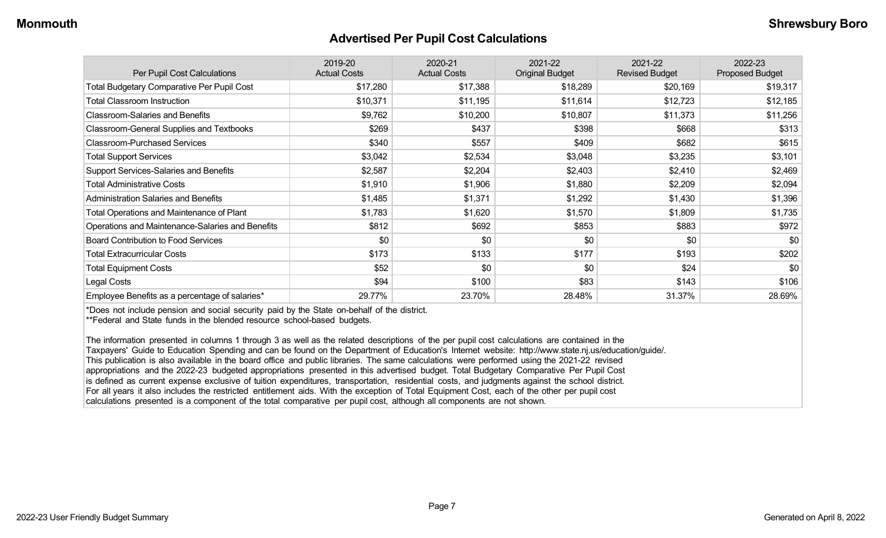#### **Advertised Per Pupil Cost Calculations**

| Per Pupil Cost Calculations                       | 2019-20<br><b>Actual Costs</b> | 2020-21<br><b>Actual Costs</b> | 2021-22<br><b>Original Budget</b> | 2021-22<br><b>Revised Budget</b> | 2022-23<br><b>Proposed Budget</b> |
|---------------------------------------------------|--------------------------------|--------------------------------|-----------------------------------|----------------------------------|-----------------------------------|
| <b>Total Budgetary Comparative Per Pupil Cost</b> | \$17,280                       | \$17,388                       | \$18,289                          | \$20,169                         | \$19,317                          |
| <b>Total Classroom Instruction</b>                | \$10,371                       | \$11,195                       | \$11,614                          | \$12,723                         | \$12,185                          |
| <b>Classroom-Salaries and Benefits</b>            | \$9,762                        | \$10,200                       | \$10,807                          | \$11,373                         | \$11,256                          |
| Classroom-General Supplies and Textbooks          | \$269                          | \$437                          | \$398                             | \$668                            | \$313                             |
| <b>Classroom-Purchased Services</b>               | \$340                          | \$557                          | \$409                             | \$682                            | \$615                             |
| <b>Total Support Services</b>                     | \$3,042                        | \$2,534                        | \$3,048                           | \$3,235                          | \$3,101                           |
| Support Services-Salaries and Benefits            | \$2,587                        | \$2,204                        | \$2,403                           | \$2,410                          | \$2,469                           |
| <b>Total Administrative Costs</b>                 | \$1,910                        | \$1,906                        | \$1,880                           | \$2,209                          | \$2,094                           |
| <b>Administration Salaries and Benefits</b>       | \$1,485                        | \$1,371                        | \$1,292                           | \$1,430                          | \$1,396                           |
| Total Operations and Maintenance of Plant         | \$1,783                        | \$1,620                        | \$1,570                           | \$1,809                          | \$1,735                           |
| Operations and Maintenance-Salaries and Benefits  | \$812                          | \$692                          | \$853                             | \$883                            | \$972                             |
| <b>Board Contribution to Food Services</b>        | \$0                            | \$0                            | \$0                               | \$0                              | \$0                               |
| <b>Total Extracurricular Costs</b>                | \$173                          | \$133                          | \$177                             | \$193                            | \$202                             |
| <b>Total Equipment Costs</b>                      | \$52                           | \$0                            | \$0                               | \$24                             | \$0                               |
| Legal Costs                                       | \$94                           | \$100                          | \$83                              | \$143                            | \$106                             |
| Employee Benefits as a percentage of salaries*    | 29.77%                         | 23.70%                         | 28.48%                            | 31.37%                           | 28.69%                            |

\*Does not include pension and social security paid by the State on-behalf of the district.

\*\*Federal and State funds in the blended resource school-based budgets.

The information presented in columns 1 through 3 as well as the related descriptions of the per pupil cost calculations are contained in the Taxpayers' Guide to Education Spending and can be found on the Department of Education's Internet website: http://www.state.nj.us/education/guide/. This publication is also available in the board office and public libraries. The same calculations were performed using the 2021-22 revised appropriations and the 2022-23 budgeted appropriations presented in this advertised budget. Total Budgetary Comparative Per Pupil Cost is defined as current expense exclusive of tuition expenditures, transportation, residential costs, and judgments against the school district. For all years it also includes the restricted entitlement aids. With the exception of Total Equipment Cost, each of the other per pupil cost calculations presented is a component of the total comparative per pupil cost, although all components are not shown.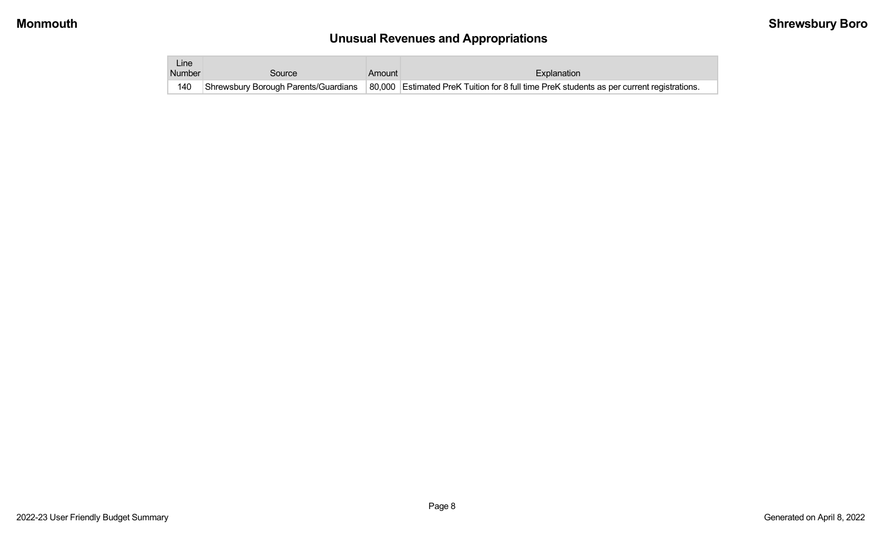# **Unusual Revenues and Appropriations**

| Line i |                                      |        |                                                                                           |
|--------|--------------------------------------|--------|-------------------------------------------------------------------------------------------|
| Number | Source                               | Amount | Explanation                                                                               |
| 140    | Shrewsbury Borough Parents/Guardians |        | 80,000 Estimated PreK Tuition for 8 full time PreK students as per current registrations. |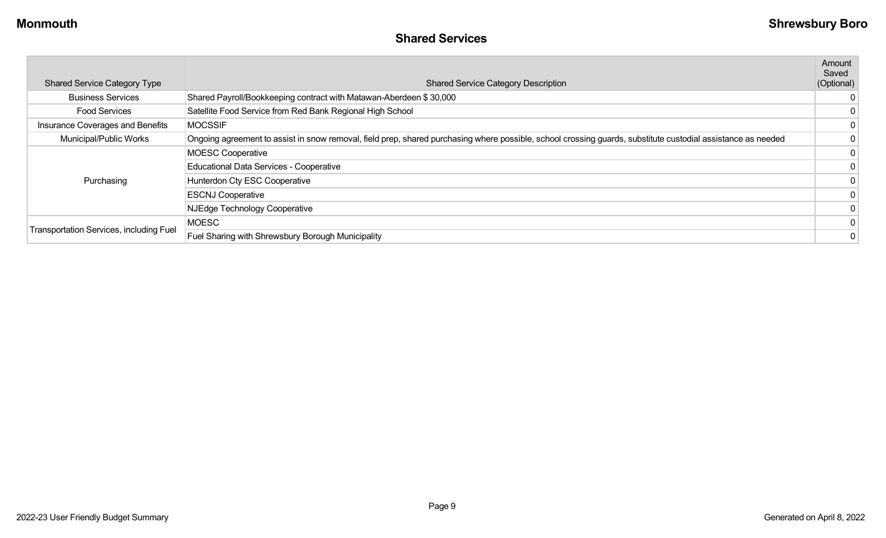| <b>Shared Service Category Type</b>            | <b>Shared Service Category Description</b>                                                                                                                   | Amount<br>Saved<br>(Optional) |
|------------------------------------------------|--------------------------------------------------------------------------------------------------------------------------------------------------------------|-------------------------------|
| <b>Business Services</b>                       | Shared Payroll/Bookkeeping contract with Matawan-Aberdeen \$30,000                                                                                           | 0                             |
| <b>Food Services</b>                           | Satellite Food Service from Red Bank Regional High School                                                                                                    | 0                             |
| Insurance Coverages and Benefits               | <b>MOCSSIF</b>                                                                                                                                               | 0                             |
| Municipal/Public Works                         | Ongoing agreement to assist in snow removal, field prep, shared purchasing where possible, school crossing guards, substitute custodial assistance as needed |                               |
|                                                | <b>MOESC Cooperative</b>                                                                                                                                     |                               |
|                                                | Educational Data Services - Cooperative                                                                                                                      |                               |
| Purchasing                                     | Hunterdon Cty ESC Cooperative                                                                                                                                |                               |
|                                                | <b>ESCNJ Cooperative</b>                                                                                                                                     |                               |
|                                                | NJEdge Technology Cooperative                                                                                                                                |                               |
|                                                | <b>MOESC</b>                                                                                                                                                 |                               |
| <b>Transportation Services, including Fuel</b> | Fuel Sharing with Shrewsbury Borough Municipality                                                                                                            |                               |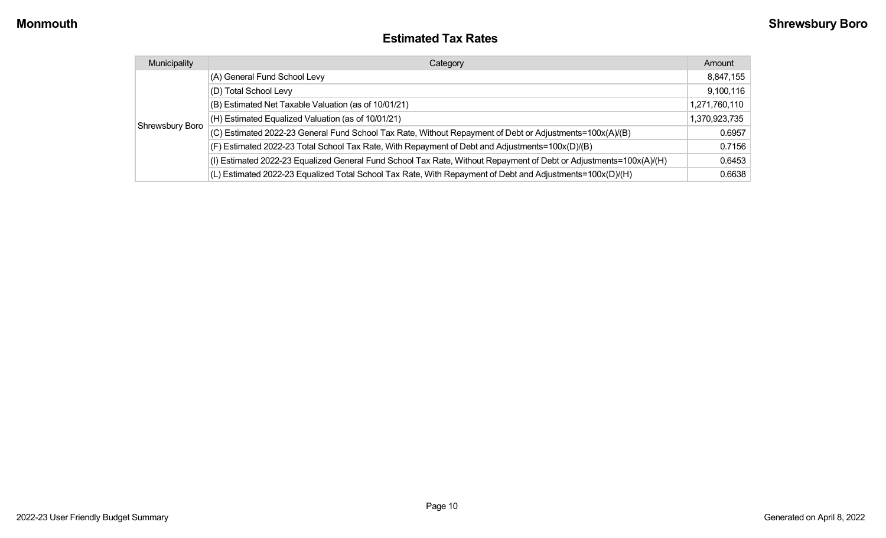#### **Estimated Tax Rates**

| Municipality    | Category                                                                                                           | Amount        |
|-----------------|--------------------------------------------------------------------------------------------------------------------|---------------|
|                 | (A) General Fund School Levy                                                                                       | 8,847,155     |
|                 | (D) Total School Levy                                                                                              | 9,100,116     |
|                 | (B) Estimated Net Taxable Valuation (as of 10/01/21)                                                               | 1,271,760,110 |
|                 | (H) Estimated Equalized Valuation (as of 10/01/21)                                                                 | 1,370,923,735 |
| Shrewsbury Boro | (C) Estimated 2022-23 General Fund School Tax Rate, Without Repayment of Debt or Adjustments=100x(A)/(B)           | 0.6957        |
|                 | (F) Estimated 2022-23 Total School Tax Rate, With Repayment of Debt and Adjustments=100x(D)/(B)                    | 0.7156        |
|                 | (I) Estimated 2022-23 Equalized General Fund School Tax Rate, Without Repayment of Debt or Adjustments=100x(A)/(H) | 0.6453        |
|                 | (L) Estimated 2022-23 Equalized Total School Tax Rate, With Repayment of Debt and Adjustments=100x(D)/(H)          | 0.6638        |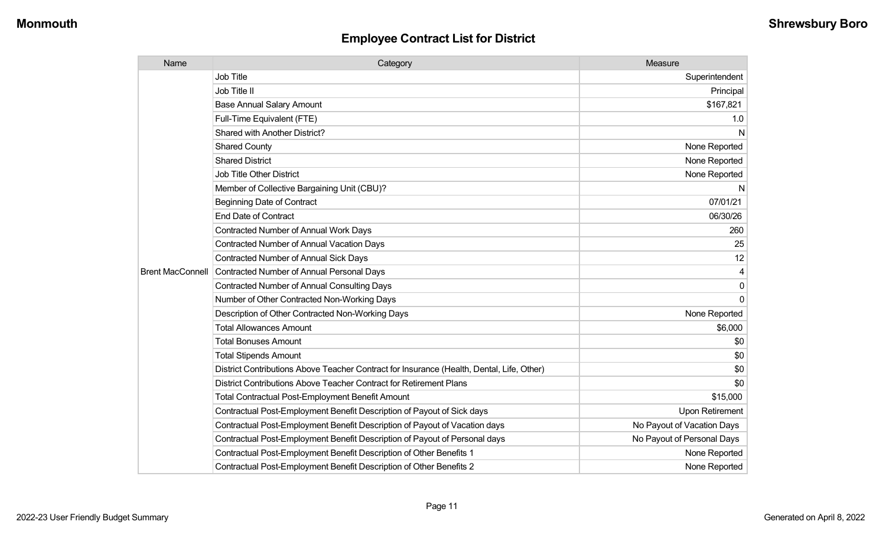| Name                    | Category                                                                                  | Measure                    |
|-------------------------|-------------------------------------------------------------------------------------------|----------------------------|
|                         | Job Title                                                                                 | Superintendent             |
|                         | Job Title II                                                                              | Principal                  |
|                         | <b>Base Annual Salary Amount</b>                                                          | \$167,821                  |
|                         | Full-Time Equivalent (FTE)                                                                | 1.0                        |
|                         | Shared with Another District?                                                             | N                          |
|                         | <b>Shared County</b>                                                                      | None Reported              |
|                         | <b>Shared District</b>                                                                    | None Reported              |
|                         | <b>Job Title Other District</b>                                                           | None Reported              |
|                         | Member of Collective Bargaining Unit (CBU)?                                               | N                          |
|                         | <b>Beginning Date of Contract</b>                                                         | 07/01/21                   |
|                         | <b>End Date of Contract</b>                                                               | 06/30/26                   |
|                         | <b>Contracted Number of Annual Work Days</b>                                              | 260                        |
|                         | <b>Contracted Number of Annual Vacation Days</b>                                          | 25                         |
|                         | <b>Contracted Number of Annual Sick Days</b>                                              | 12                         |
| <b>Brent MacConnell</b> | Contracted Number of Annual Personal Days                                                 | 4                          |
|                         | <b>Contracted Number of Annual Consulting Days</b>                                        | $\mathbf 0$                |
|                         | Number of Other Contracted Non-Working Days                                               | $\Omega$                   |
|                         | Description of Other Contracted Non-Working Days                                          | None Reported              |
|                         | <b>Total Allowances Amount</b>                                                            | \$6,000                    |
|                         | <b>Total Bonuses Amount</b>                                                               | \$0                        |
|                         | <b>Total Stipends Amount</b>                                                              | \$0                        |
|                         | District Contributions Above Teacher Contract for Insurance (Health, Dental, Life, Other) | \$0                        |
|                         | District Contributions Above Teacher Contract for Retirement Plans                        | \$0                        |
|                         | <b>Total Contractual Post-Employment Benefit Amount</b>                                   | \$15,000                   |
|                         | Contractual Post-Employment Benefit Description of Payout of Sick days                    | <b>Upon Retirement</b>     |
|                         | Contractual Post-Employment Benefit Description of Payout of Vacation days                | No Payout of Vacation Days |
|                         | Contractual Post-Employment Benefit Description of Payout of Personal days                | No Payout of Personal Days |
|                         | Contractual Post-Employment Benefit Description of Other Benefits 1                       | None Reported              |
|                         | Contractual Post-Employment Benefit Description of Other Benefits 2                       | None Reported              |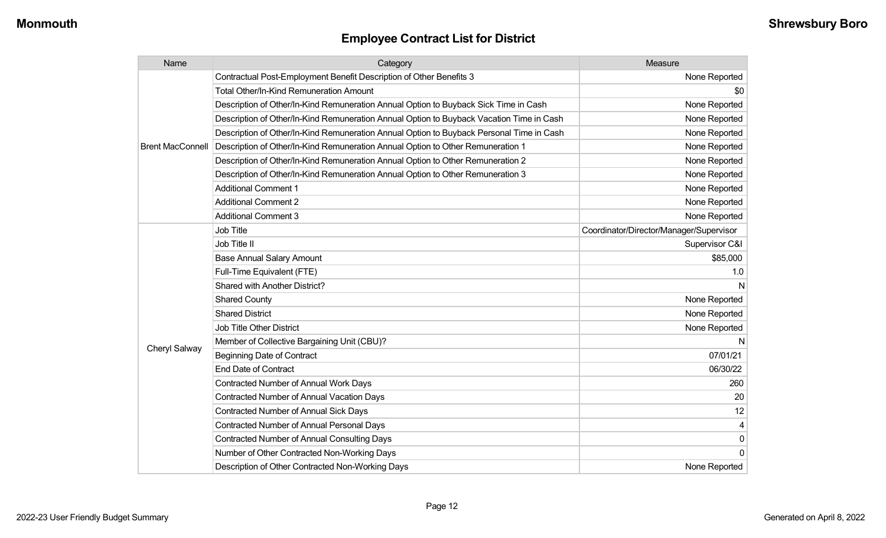| Name                    | Category                                                                                 | Measure                                 |
|-------------------------|------------------------------------------------------------------------------------------|-----------------------------------------|
|                         | Contractual Post-Employment Benefit Description of Other Benefits 3                      | None Reported                           |
|                         | Total Other/In-Kind Remuneration Amount                                                  | \$0                                     |
|                         | Description of Other/In-Kind Remuneration Annual Option to Buyback Sick Time in Cash     | None Reported                           |
|                         | Description of Other/In-Kind Remuneration Annual Option to Buyback Vacation Time in Cash | None Reported                           |
|                         | Description of Other/In-Kind Remuneration Annual Option to Buyback Personal Time in Cash | None Reported                           |
| <b>Brent MacConnell</b> | Description of Other/In-Kind Remuneration Annual Option to Other Remuneration 1          | None Reported                           |
|                         | Description of Other/In-Kind Remuneration Annual Option to Other Remuneration 2          | None Reported                           |
|                         | Description of Other/In-Kind Remuneration Annual Option to Other Remuneration 3          | None Reported                           |
|                         | <b>Additional Comment 1</b>                                                              | None Reported                           |
|                         | <b>Additional Comment 2</b>                                                              | None Reported                           |
|                         | <b>Additional Comment 3</b>                                                              | None Reported                           |
|                         | <b>Job Title</b>                                                                         | Coordinator/Director/Manager/Supervisor |
|                         | Job Title II                                                                             | Supervisor C&I                          |
|                         | <b>Base Annual Salary Amount</b>                                                         | \$85,000                                |
|                         | Full-Time Equivalent (FTE)                                                               | 1.0                                     |
|                         | Shared with Another District?                                                            | N                                       |
|                         | <b>Shared County</b>                                                                     | None Reported                           |
|                         | <b>Shared District</b>                                                                   | None Reported                           |
|                         | <b>Job Title Other District</b>                                                          | None Reported                           |
|                         | Member of Collective Bargaining Unit (CBU)?                                              | N                                       |
| Cheryl Salway           | <b>Beginning Date of Contract</b>                                                        | 07/01/21                                |
|                         | <b>End Date of Contract</b>                                                              | 06/30/22                                |
|                         | Contracted Number of Annual Work Days                                                    | 260                                     |
|                         | <b>Contracted Number of Annual Vacation Days</b>                                         | 20                                      |
|                         | <b>Contracted Number of Annual Sick Days</b>                                             | 12                                      |
|                         | Contracted Number of Annual Personal Days                                                | 4                                       |
|                         | <b>Contracted Number of Annual Consulting Days</b>                                       | $\pmb{0}$                               |
|                         | Number of Other Contracted Non-Working Days                                              | $\overline{0}$                          |
|                         | Description of Other Contracted Non-Working Days                                         | None Reported                           |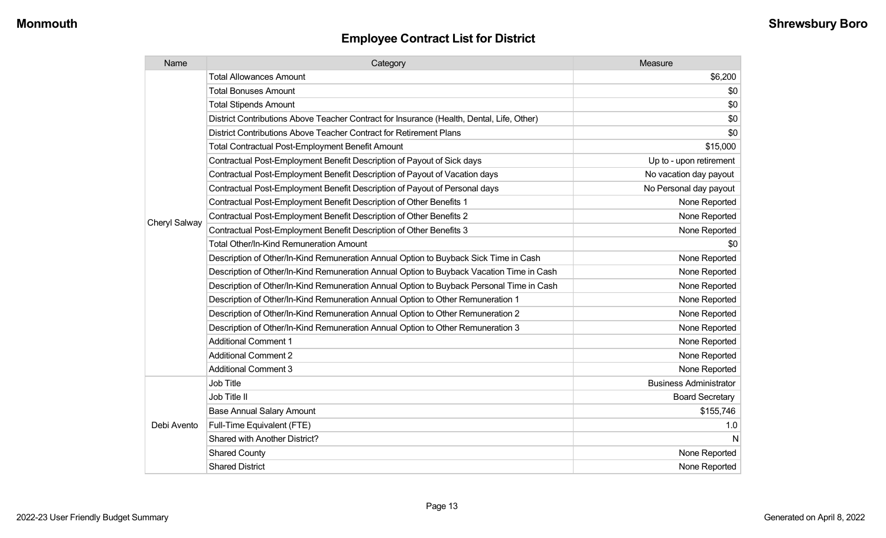| Name          | Category                                                                                  | Measure                       |
|---------------|-------------------------------------------------------------------------------------------|-------------------------------|
|               | <b>Total Allowances Amount</b>                                                            | \$6,200                       |
|               | <b>Total Bonuses Amount</b>                                                               | \$0                           |
|               | <b>Total Stipends Amount</b>                                                              | \$0                           |
|               | District Contributions Above Teacher Contract for Insurance (Health, Dental, Life, Other) | \$0                           |
|               | District Contributions Above Teacher Contract for Retirement Plans                        | \$0                           |
|               | <b>Total Contractual Post-Employment Benefit Amount</b>                                   | \$15,000                      |
|               | Contractual Post-Employment Benefit Description of Payout of Sick days                    | Up to - upon retirement       |
|               | Contractual Post-Employment Benefit Description of Payout of Vacation days                | No vacation day payout        |
|               | Contractual Post-Employment Benefit Description of Payout of Personal days                | No Personal day payout        |
|               | Contractual Post-Employment Benefit Description of Other Benefits 1                       | None Reported                 |
| Cheryl Salway | Contractual Post-Employment Benefit Description of Other Benefits 2                       | None Reported                 |
|               | Contractual Post-Employment Benefit Description of Other Benefits 3                       | None Reported                 |
|               | Total Other/In-Kind Remuneration Amount                                                   | \$0                           |
|               | Description of Other/In-Kind Remuneration Annual Option to Buyback Sick Time in Cash      | None Reported                 |
|               | Description of Other/In-Kind Remuneration Annual Option to Buyback Vacation Time in Cash  | None Reported                 |
|               | Description of Other/In-Kind Remuneration Annual Option to Buyback Personal Time in Cash  | None Reported                 |
|               | Description of Other/In-Kind Remuneration Annual Option to Other Remuneration 1           | None Reported                 |
|               | Description of Other/In-Kind Remuneration Annual Option to Other Remuneration 2           | None Reported                 |
|               | Description of Other/In-Kind Remuneration Annual Option to Other Remuneration 3           | None Reported                 |
|               | <b>Additional Comment 1</b>                                                               | None Reported                 |
|               | <b>Additional Comment 2</b>                                                               | None Reported                 |
|               | <b>Additional Comment 3</b>                                                               | None Reported                 |
|               | Job Title                                                                                 | <b>Business Administrator</b> |
|               | Job Title II                                                                              | <b>Board Secretary</b>        |
| Debi Avento   | <b>Base Annual Salary Amount</b>                                                          | \$155,746                     |
|               | Full-Time Equivalent (FTE)                                                                | 1.0                           |
|               | Shared with Another District?                                                             | N                             |
|               | <b>Shared County</b>                                                                      | None Reported                 |
|               | <b>Shared District</b>                                                                    | None Reported                 |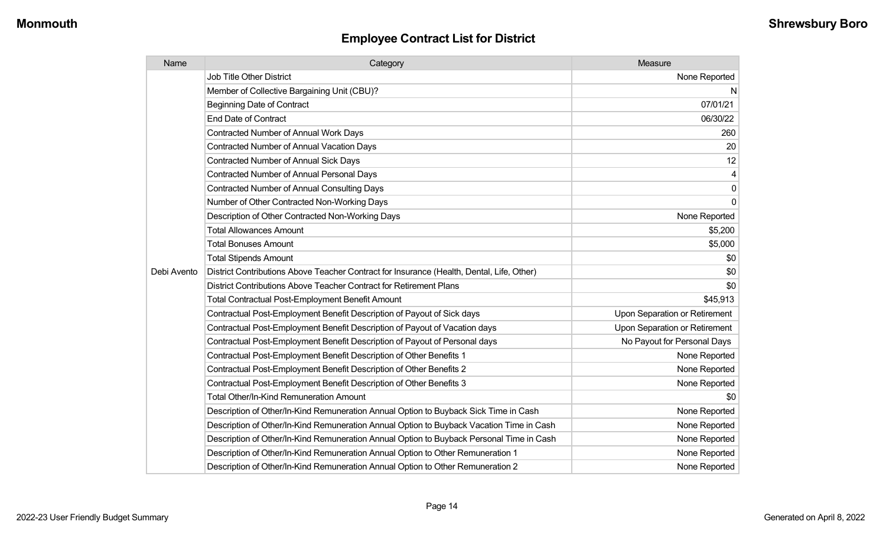| Name        | Category                                                                                  | Measure                       |
|-------------|-------------------------------------------------------------------------------------------|-------------------------------|
|             | <b>Job Title Other District</b>                                                           | None Reported                 |
|             | Member of Collective Bargaining Unit (CBU)?                                               | N                             |
|             | <b>Beginning Date of Contract</b>                                                         | 07/01/21                      |
|             | End Date of Contract                                                                      | 06/30/22                      |
|             | Contracted Number of Annual Work Days                                                     | 260                           |
|             | <b>Contracted Number of Annual Vacation Days</b>                                          | 20                            |
|             | <b>Contracted Number of Annual Sick Days</b>                                              | 12                            |
|             | <b>Contracted Number of Annual Personal Days</b>                                          | $\overline{4}$                |
|             | <b>Contracted Number of Annual Consulting Days</b>                                        | $\pmb{0}$                     |
|             | Number of Other Contracted Non-Working Days                                               | $\mathbf 0$                   |
|             | Description of Other Contracted Non-Working Days                                          | None Reported                 |
|             | <b>Total Allowances Amount</b>                                                            | \$5,200                       |
|             | <b>Total Bonuses Amount</b>                                                               | \$5,000                       |
|             | <b>Total Stipends Amount</b>                                                              | \$0                           |
| Debi Avento | District Contributions Above Teacher Contract for Insurance (Health, Dental, Life, Other) | \$0                           |
|             | District Contributions Above Teacher Contract for Retirement Plans                        | \$0                           |
|             | <b>Total Contractual Post-Employment Benefit Amount</b>                                   | \$45,913                      |
|             | Contractual Post-Employment Benefit Description of Payout of Sick days                    | Upon Separation or Retirement |
|             | Contractual Post-Employment Benefit Description of Payout of Vacation days                | Upon Separation or Retirement |
|             | Contractual Post-Employment Benefit Description of Payout of Personal days                | No Payout for Personal Days   |
|             | Contractual Post-Employment Benefit Description of Other Benefits 1                       | None Reported                 |
|             | Contractual Post-Employment Benefit Description of Other Benefits 2                       | None Reported                 |
|             | Contractual Post-Employment Benefit Description of Other Benefits 3                       | None Reported                 |
|             | <b>Total Other/In-Kind Remuneration Amount</b>                                            | \$0                           |
|             | Description of Other/In-Kind Remuneration Annual Option to Buyback Sick Time in Cash      | None Reported                 |
|             | Description of Other/In-Kind Remuneration Annual Option to Buyback Vacation Time in Cash  | None Reported                 |
|             | Description of Other/In-Kind Remuneration Annual Option to Buyback Personal Time in Cash  | None Reported                 |
|             | Description of Other/In-Kind Remuneration Annual Option to Other Remuneration 1           | None Reported                 |
|             | Description of Other/In-Kind Remuneration Annual Option to Other Remuneration 2           | None Reported                 |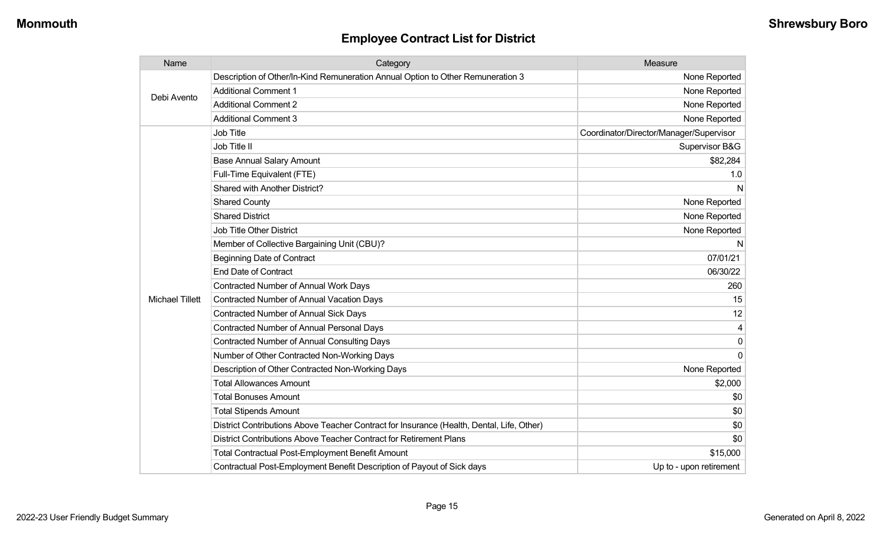| Name                   | Category                                                                                  | Measure                                 |
|------------------------|-------------------------------------------------------------------------------------------|-----------------------------------------|
| Debi Avento            | Description of Other/In-Kind Remuneration Annual Option to Other Remuneration 3           | None Reported                           |
|                        | <b>Additional Comment 1</b>                                                               | None Reported                           |
|                        | <b>Additional Comment 2</b>                                                               | None Reported                           |
|                        | <b>Additional Comment 3</b>                                                               | None Reported                           |
|                        | Job Title                                                                                 | Coordinator/Director/Manager/Supervisor |
|                        | Job Title II                                                                              | Supervisor B&G                          |
|                        | <b>Base Annual Salary Amount</b>                                                          | \$82,284                                |
|                        | Full-Time Equivalent (FTE)                                                                | 1.0                                     |
|                        | Shared with Another District?                                                             | N                                       |
|                        | <b>Shared County</b>                                                                      | None Reported                           |
|                        | <b>Shared District</b>                                                                    | None Reported                           |
|                        | <b>Job Title Other District</b>                                                           | None Reported                           |
|                        | Member of Collective Bargaining Unit (CBU)?                                               | N                                       |
|                        | <b>Beginning Date of Contract</b>                                                         | 07/01/21                                |
|                        | <b>End Date of Contract</b>                                                               | 06/30/22                                |
|                        | <b>Contracted Number of Annual Work Days</b>                                              | 260                                     |
| <b>Michael Tillett</b> | <b>Contracted Number of Annual Vacation Days</b>                                          | 15                                      |
|                        | <b>Contracted Number of Annual Sick Days</b>                                              | 12                                      |
|                        | <b>Contracted Number of Annual Personal Days</b>                                          | 4                                       |
|                        | <b>Contracted Number of Annual Consulting Days</b>                                        | 0                                       |
|                        | Number of Other Contracted Non-Working Days                                               | 0                                       |
|                        | Description of Other Contracted Non-Working Days                                          | None Reported                           |
|                        | <b>Total Allowances Amount</b>                                                            | \$2,000                                 |
|                        | <b>Total Bonuses Amount</b>                                                               | \$0                                     |
|                        | <b>Total Stipends Amount</b>                                                              | \$0                                     |
|                        | District Contributions Above Teacher Contract for Insurance (Health, Dental, Life, Other) | \$0                                     |
|                        | District Contributions Above Teacher Contract for Retirement Plans                        | \$0                                     |
|                        | <b>Total Contractual Post-Employment Benefit Amount</b>                                   | \$15,000                                |
|                        | Contractual Post-Employment Benefit Description of Payout of Sick days                    | Up to - upon retirement                 |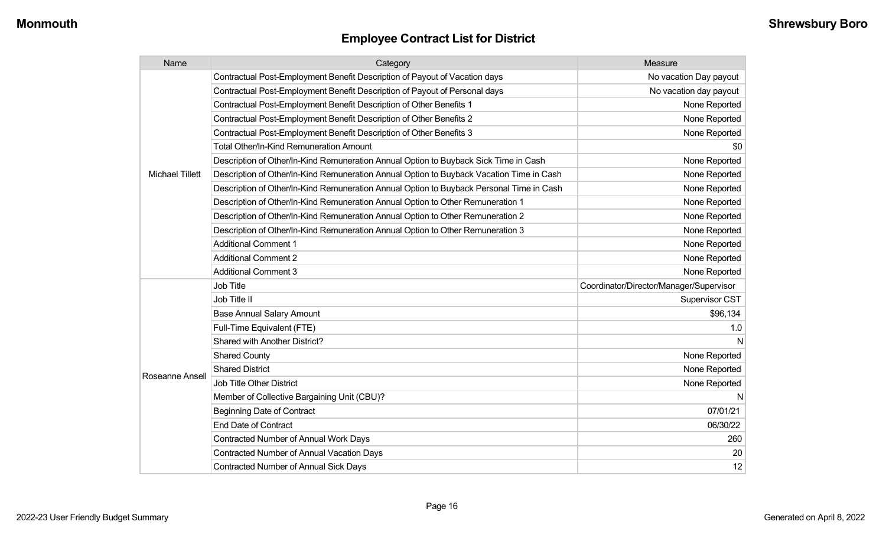| Name                   | Category                                                                                 | Measure                                 |
|------------------------|------------------------------------------------------------------------------------------|-----------------------------------------|
|                        | Contractual Post-Employment Benefit Description of Payout of Vacation days               | No vacation Day payout                  |
|                        | Contractual Post-Employment Benefit Description of Payout of Personal days               | No vacation day payout                  |
|                        | Contractual Post-Employment Benefit Description of Other Benefits 1                      | None Reported                           |
|                        | Contractual Post-Employment Benefit Description of Other Benefits 2                      | None Reported                           |
|                        | Contractual Post-Employment Benefit Description of Other Benefits 3                      | None Reported                           |
|                        | <b>Total Other/In-Kind Remuneration Amount</b>                                           | \$0                                     |
|                        | Description of Other/In-Kind Remuneration Annual Option to Buyback Sick Time in Cash     | None Reported                           |
| <b>Michael Tillett</b> | Description of Other/In-Kind Remuneration Annual Option to Buyback Vacation Time in Cash | None Reported                           |
|                        | Description of Other/In-Kind Remuneration Annual Option to Buyback Personal Time in Cash | None Reported                           |
|                        | Description of Other/In-Kind Remuneration Annual Option to Other Remuneration 1          | None Reported                           |
|                        | Description of Other/In-Kind Remuneration Annual Option to Other Remuneration 2          | None Reported                           |
|                        | Description of Other/In-Kind Remuneration Annual Option to Other Remuneration 3          | None Reported                           |
|                        | <b>Additional Comment 1</b>                                                              | None Reported                           |
|                        | <b>Additional Comment 2</b>                                                              | None Reported                           |
|                        | <b>Additional Comment 3</b>                                                              | None Reported                           |
|                        | Job Title                                                                                | Coordinator/Director/Manager/Supervisor |
|                        | Job Title II                                                                             | Supervisor CST                          |
|                        | <b>Base Annual Salary Amount</b>                                                         | \$96,134                                |
|                        | Full-Time Equivalent (FTE)                                                               | 1.0                                     |
|                        | Shared with Another District?                                                            |                                         |
|                        | <b>Shared County</b>                                                                     | None Reported                           |
|                        | <b>Shared District</b>                                                                   | None Reported                           |
| Roseanne Ansell        | <b>Job Title Other District</b>                                                          | None Reported                           |
|                        | Member of Collective Bargaining Unit (CBU)?                                              | N                                       |
|                        | <b>Beginning Date of Contract</b>                                                        | 07/01/21                                |
|                        | <b>End Date of Contract</b>                                                              | 06/30/22                                |
|                        | <b>Contracted Number of Annual Work Days</b>                                             | 260                                     |
|                        | Contracted Number of Annual Vacation Days                                                | 20                                      |
|                        | <b>Contracted Number of Annual Sick Days</b>                                             | 12                                      |